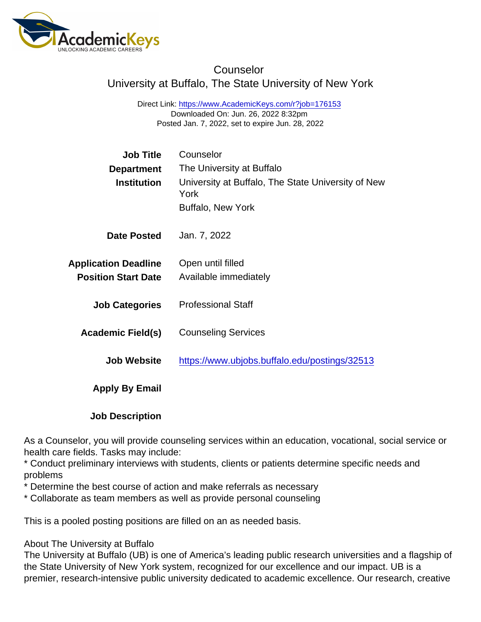## **Counselor** University at Buffalo, The State University of New York

Direct Link: <https://www.AcademicKeys.com/r?job=176153> Downloaded On: Jun. 26, 2022 8:32pm Posted Jan. 7, 2022, set to expire Jun. 28, 2022

| <b>Job Title</b>            | Counselor                                                  |
|-----------------------------|------------------------------------------------------------|
| Department                  | The University at Buffalo                                  |
| Institution                 | University at Buffalo, The State University of New<br>York |
|                             | Buffalo, New York                                          |
| Date Posted                 | Jan. 7, 2022                                               |
| <b>Application Deadline</b> | Open until filled                                          |
| <b>Position Start Date</b>  | Available immediately                                      |
| <b>Job Categories</b>       | <b>Professional Staff</b>                                  |
| Academic Field(s)           | <b>Counseling Services</b>                                 |
| <b>Job Website</b>          | https://www.ubjobs.buffalo.edu/postings/32513              |
| Apply By Email              |                                                            |
|                             |                                                            |

Job Description

As a Counselor, you will provide counseling services within an education, vocational, social service or health care fields. Tasks may include:

\* Conduct preliminary interviews with students, clients or patients determine specific needs and problems

\* Determine the best course of action and make referrals as necessary

\* Collaborate as team members as well as provide personal counseling

This is a pooled posting positions are filled on an as needed basis.

## About The University at Buffalo

The University at Buffalo (UB) is one of America's leading public research universities and a flagship of the State University of New York system, recognized for our excellence and our impact. UB is a premier, research-intensive public university dedicated to academic excellence. Our research, creative